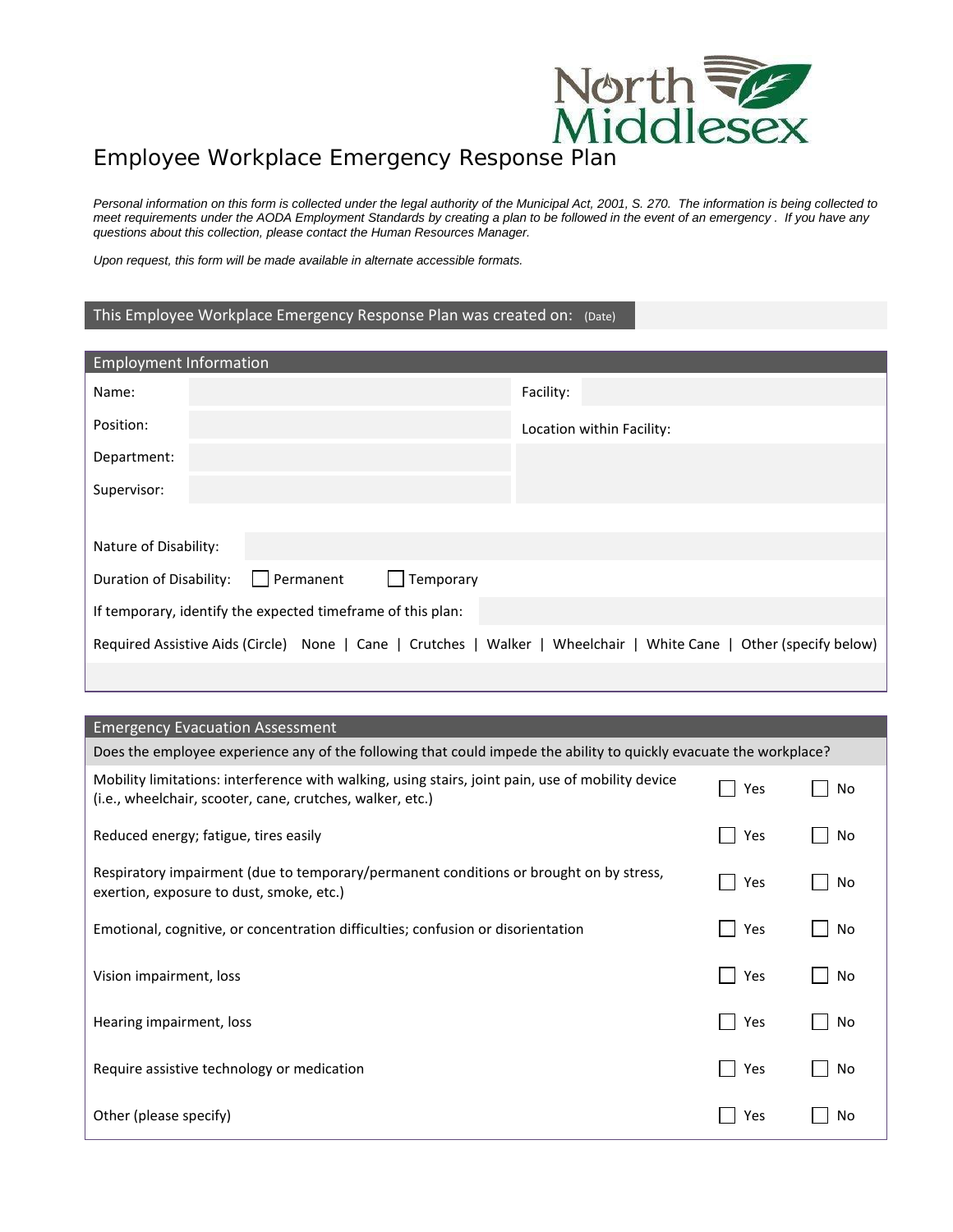

## Employee Workplace Emergency Response Plan

*Personal information on this form is collected under the legal authority of the Municipal Act, 2001, S. 270. The information is being collected to meet requirements under the AODA Employment Standards by creating a plan to be followed in the event of an emergency . If you have any questions about this collection, please contact the Human Resources Manager.*

*Upon request, this form will be made available in alternate accessible formats.*

## This Employee Workplace Emergency Response Plan was created on: (Date)

| <b>Employment Information</b>                                                                                      |                           |  |  |
|--------------------------------------------------------------------------------------------------------------------|---------------------------|--|--|
| Name:                                                                                                              | Facility:                 |  |  |
| Position:                                                                                                          | Location within Facility: |  |  |
| Department:                                                                                                        |                           |  |  |
| Supervisor:                                                                                                        |                           |  |  |
|                                                                                                                    |                           |  |  |
| Nature of Disability:                                                                                              |                           |  |  |
| Permanent<br>Temporary<br>Duration of Disability:                                                                  |                           |  |  |
| If temporary, identify the expected timeframe of this plan:                                                        |                           |  |  |
| Required Assistive Aids (Circle) None   Cane   Crutches   Walker   Wheelchair   White Cane   Other (specify below) |                           |  |  |
|                                                                                                                    |                           |  |  |

## Emergency Evacuation Assessment

| Does the employee experience any of the following that could impede the ability to quickly evacuate the workplace?                                             |     |    |  |
|----------------------------------------------------------------------------------------------------------------------------------------------------------------|-----|----|--|
| Mobility limitations: interference with walking, using stairs, joint pain, use of mobility device<br>(i.e., wheelchair, scooter, cane, crutches, walker, etc.) | Yes | No |  |
| Reduced energy; fatigue, tires easily                                                                                                                          | Yes | No |  |
| Respiratory impairment (due to temporary/permanent conditions or brought on by stress,<br>exertion, exposure to dust, smoke, etc.)                             | Yes | No |  |
| Emotional, cognitive, or concentration difficulties; confusion or disorientation                                                                               | Yes | No |  |
| Vision impairment, loss                                                                                                                                        | Yes | No |  |
| Hearing impairment, loss                                                                                                                                       | Yes | No |  |
| Require assistive technology or medication                                                                                                                     | Yes | No |  |
| Other (please specify)                                                                                                                                         | Yes | No |  |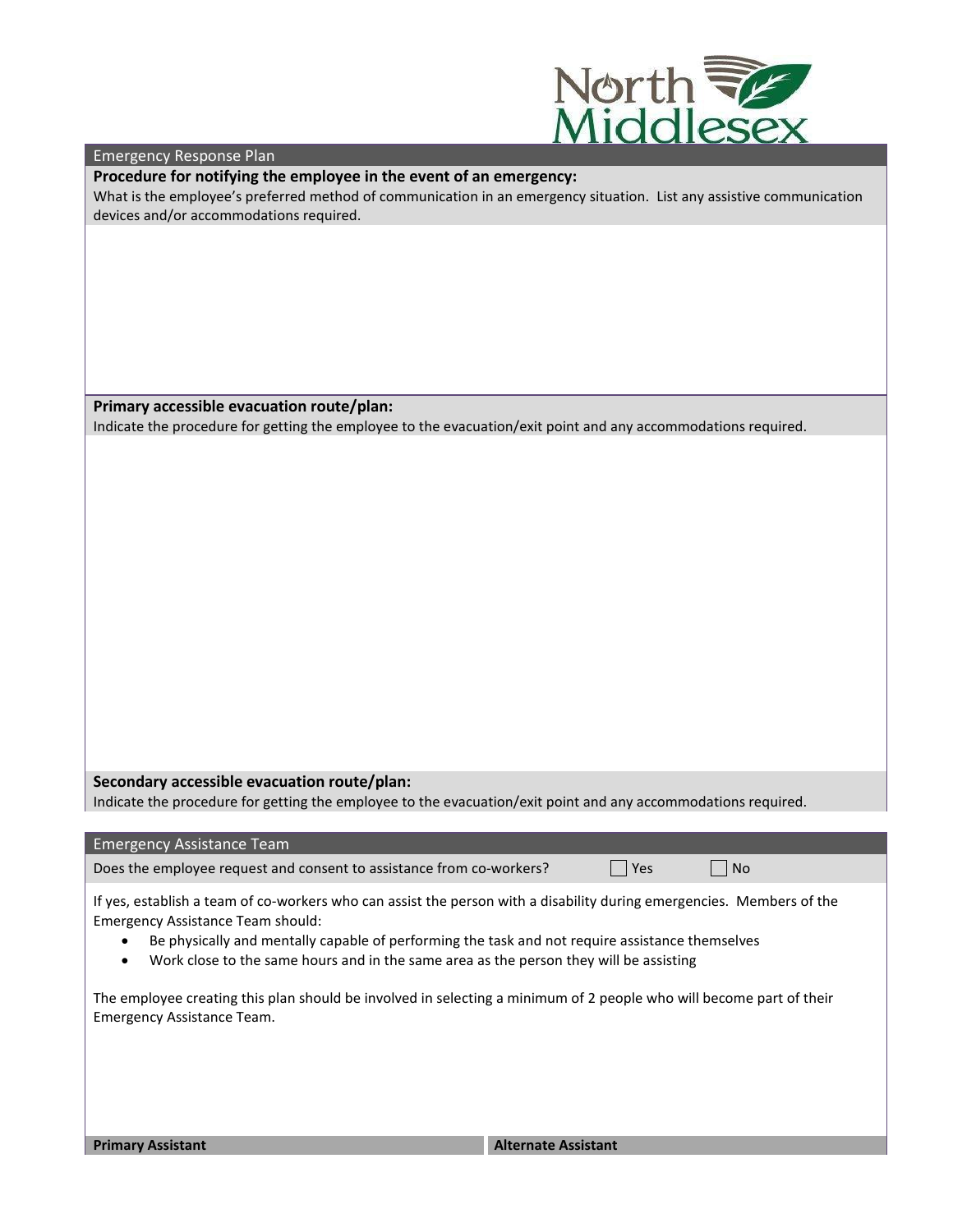

Emergency Response Plan

**Procedure for notifying the employee in the event of an emergency:**

What is the employee's preferred method of communication in an emergency situation. List any assistive communication devices and/or accommodations required.

**Primary accessible evacuation route/plan:**

Indicate the procedure for getting the employee to the evacuation/exit point and any accommodations required.

**Secondary accessible evacuation route/plan:**

Emergency Assistance Team should:

Indicate the procedure for getting the employee to the evacuation/exit point and any accommodations required.

Emergency Assistance Team Does the employee request and consent to assistance from co-workers?  $\Box$  Yes  $\Box$  No

If yes, establish a team of co-workers who can assist the person with a disability during emergencies. Members of the

- Be physically and mentally capable of performing the task and not require assistance themselves
- Work close to the same hours and in the same area as the person they will be assisting

The employee creating this plan should be involved in selecting a minimum of 2 people who will become part of their Emergency Assistance Team.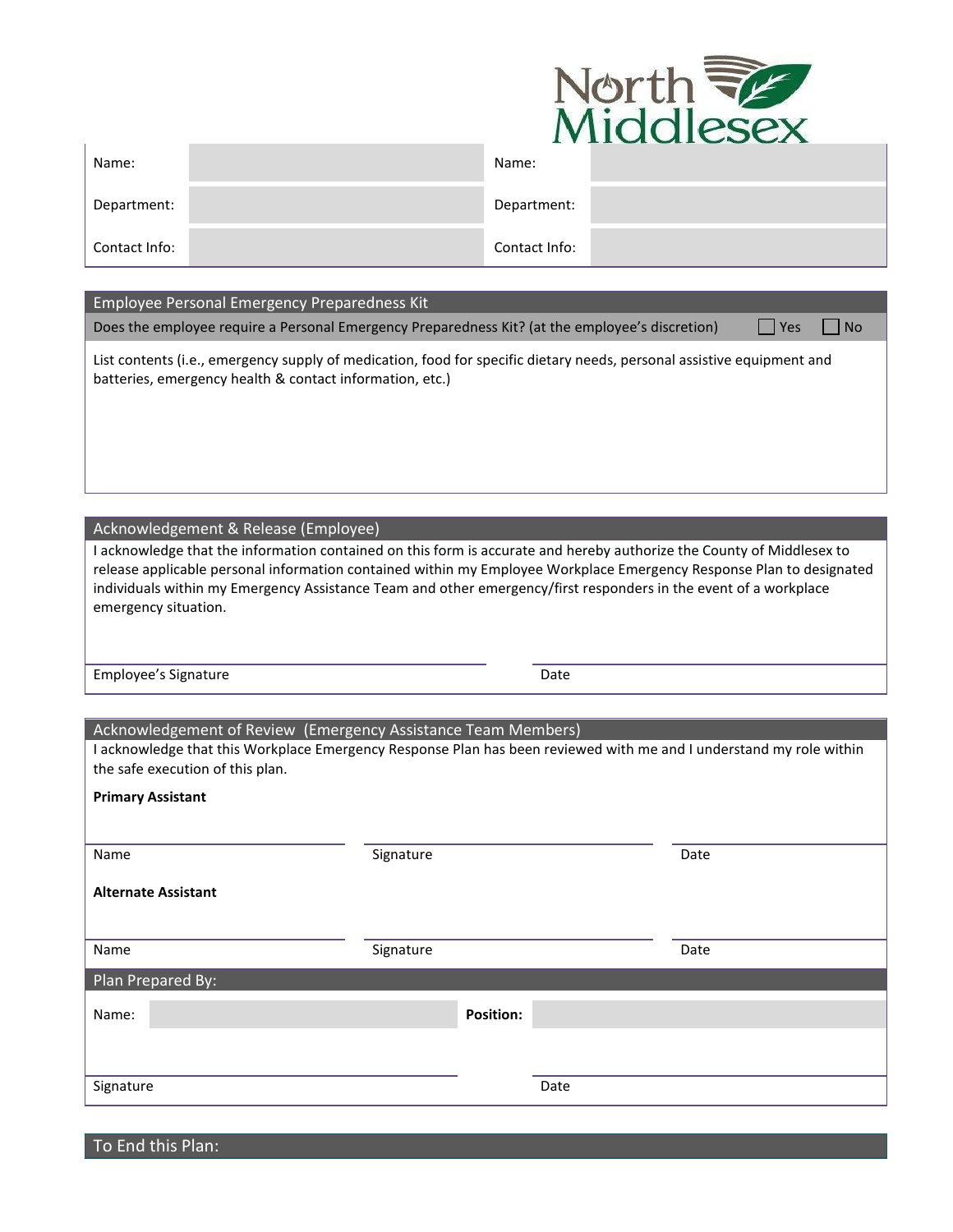

|               | $\cdots$      |
|---------------|---------------|
| Name:         | Name:         |
| Department:   | Department:   |
| Contact Info: | Contact Info: |

## Employee Personal Emergency Preparedness Kit

Does the employee require a Personal Emergency Preparedness Kit? (at the employee's discretion)  $\Box$  Yes  $\Box$  No

List contents (i.e., emergency supply of medication, food for specific dietary needs, personal assistive equipment and batteries, emergency health & contact information, etc.)

Acknowledgement & Release (Employee)

I acknowledge that the information contained on this form is accurate and hereby authorize the County of Middlesex to release applicable personal information contained within my Employee Workplace Emergency Response Plan to designated individuals within my Emergency Assistance Team and other emergency/first responders in the event of a workplace emergency situation.

Employee's Signature **Date** Date Date

| Acknowledgement of Review (Emergency Assistance Team Members)                                                                                           |           |                  |      |      |
|---------------------------------------------------------------------------------------------------------------------------------------------------------|-----------|------------------|------|------|
| I acknowledge that this Workplace Emergency Response Plan has been reviewed with me and I understand my role within<br>the safe execution of this plan. |           |                  |      |      |
| <b>Primary Assistant</b>                                                                                                                                |           |                  |      |      |
|                                                                                                                                                         |           |                  |      |      |
| Name                                                                                                                                                    | Signature |                  |      | Date |
| <b>Alternate Assistant</b>                                                                                                                              |           |                  |      |      |
| Name                                                                                                                                                    | Signature |                  |      | Date |
| Plan Prepared By:                                                                                                                                       |           |                  |      |      |
| Name:                                                                                                                                                   |           | <b>Position:</b> |      |      |
|                                                                                                                                                         |           |                  |      |      |
| Signature                                                                                                                                               |           |                  | Date |      |